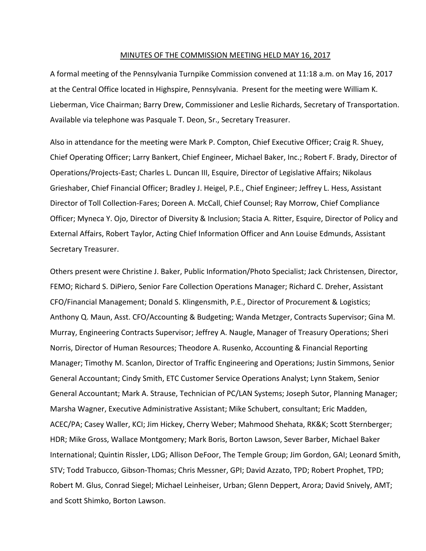#### MINUTES OF THE COMMISSION MEETING HELD MAY 16, 2017

A formal meeting of the Pennsylvania Turnpike Commission convened at 11:18 a.m. on May 16, 2017 at the Central Office located in Highspire, Pennsylvania. Present for the meeting were William K. Lieberman, Vice Chairman; Barry Drew, Commissioner and Leslie Richards, Secretary of Transportation. Available via telephone was Pasquale T. Deon, Sr., Secretary Treasurer.

Also in attendance for the meeting were Mark P. Compton, Chief Executive Officer; Craig R. Shuey, Chief Operating Officer; Larry Bankert, Chief Engineer, Michael Baker, Inc.; Robert F. Brady, Director of Operations/Projects‐East; Charles L. Duncan III, Esquire, Director of Legislative Affairs; Nikolaus Grieshaber, Chief Financial Officer; Bradley J. Heigel, P.E., Chief Engineer; Jeffrey L. Hess, Assistant Director of Toll Collection‐Fares; Doreen A. McCall, Chief Counsel; Ray Morrow, Chief Compliance Officer; Myneca Y. Ojo, Director of Diversity & Inclusion; Stacia A. Ritter, Esquire, Director of Policy and External Affairs, Robert Taylor, Acting Chief Information Officer and Ann Louise Edmunds, Assistant Secretary Treasurer.

Others present were Christine J. Baker, Public Information/Photo Specialist; Jack Christensen, Director, FEMO; Richard S. DiPiero, Senior Fare Collection Operations Manager; Richard C. Dreher, Assistant CFO/Financial Management; Donald S. Klingensmith, P.E., Director of Procurement & Logistics; Anthony Q. Maun, Asst. CFO/Accounting & Budgeting; Wanda Metzger, Contracts Supervisor; Gina M. Murray, Engineering Contracts Supervisor; Jeffrey A. Naugle, Manager of Treasury Operations; Sheri Norris, Director of Human Resources; Theodore A. Rusenko, Accounting & Financial Reporting Manager; Timothy M. Scanlon, Director of Traffic Engineering and Operations; Justin Simmons, Senior General Accountant; Cindy Smith, ETC Customer Service Operations Analyst; Lynn Stakem, Senior General Accountant; Mark A. Strause, Technician of PC/LAN Systems; Joseph Sutor, Planning Manager; Marsha Wagner, Executive Administrative Assistant; Mike Schubert, consultant; Eric Madden, ACEC/PA; Casey Waller, KCI; Jim Hickey, Cherry Weber; Mahmood Shehata, RK&K; Scott Sternberger; HDR; Mike Gross, Wallace Montgomery; Mark Boris, Borton Lawson, Sever Barber, Michael Baker International; Quintin Rissler, LDG; Allison DeFoor, The Temple Group; Jim Gordon, GAI; Leonard Smith, STV; Todd Trabucco, Gibson‐Thomas; Chris Messner, GPI; David Azzato, TPD; Robert Prophet, TPD; Robert M. Glus, Conrad Siegel; Michael Leinheiser, Urban; Glenn Deppert, Arora; David Snively, AMT; and Scott Shimko, Borton Lawson.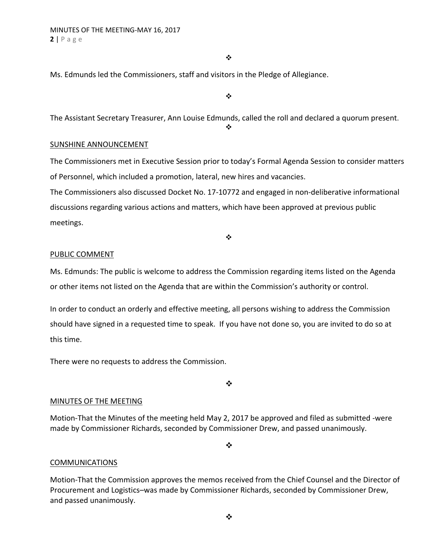#### $\frac{1}{2}$

Ms. Edmunds led the Commissioners, staff and visitors in the Pledge of Allegiance.

 $\bullet$ 

The Assistant Secretary Treasurer, Ann Louise Edmunds, called the roll and declared a quorum present.

 $\bullet^{\bullet}_{\bullet}$ 

## SUNSHINE ANNOUNCEMENT

The Commissioners met in Executive Session prior to today's Formal Agenda Session to consider matters of Personnel, which included a promotion, lateral, new hires and vacancies.

The Commissioners also discussed Docket No. 17‐10772 and engaged in non‐deliberative informational discussions regarding various actions and matters, which have been approved at previous public meetings.

❖

## PUBLIC COMMENT

Ms. Edmunds: The public is welcome to address the Commission regarding items listed on the Agenda or other items not listed on the Agenda that are within the Commission's authority or control.

In order to conduct an orderly and effective meeting, all persons wishing to address the Commission should have signed in a requested time to speak. If you have not done so, you are invited to do so at this time.

There were no requests to address the Commission.

 $\cdot$ 

## MINUTES OF THE MEETING

Motion‐That the Minutes of the meeting held May 2, 2017 be approved and filed as submitted ‐were made by Commissioner Richards, seconded by Commissioner Drew, and passed unanimously.

 $\bullet^{\bullet}_{\bullet} \bullet$ 

## **COMMUNICATIONS**

Motion‐That the Commission approves the memos received from the Chief Counsel and the Director of Procurement and Logistics–was made by Commissioner Richards, seconded by Commissioner Drew, and passed unanimously.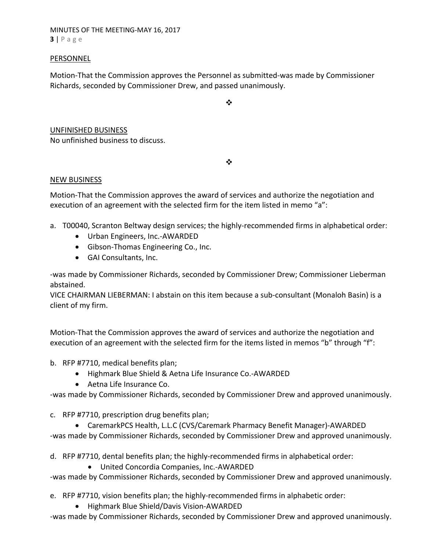MINUTES OF THE MEETING‐MAY 16, 2017 **3** | Page

### PERSONNEL

Motion‐That the Commission approves the Personnel as submitted‐was made by Commissioner Richards, seconded by Commissioner Drew, and passed unanimously.

❖

UNFINISHED BUSINESS No unfinished business to discuss.

 $\cdot$ 

## NEW BUSINESS

Motion‐That the Commission approves the award of services and authorize the negotiation and execution of an agreement with the selected firm for the item listed in memo "a":

- a. T00040, Scranton Beltway design services; the highly‐recommended firms in alphabetical order:
	- Urban Engineers, Inc.-AWARDED
	- Gibson-Thomas Engineering Co., Inc.
	- GAI Consultants, Inc.

‐was made by Commissioner Richards, seconded by Commissioner Drew; Commissioner Lieberman abstained.

VICE CHAIRMAN LIEBERMAN: I abstain on this item because a sub‐consultant (Monaloh Basin) is a client of my firm.

Motion‐That the Commission approves the award of services and authorize the negotiation and execution of an agreement with the selected firm for the items listed in memos "b" through "f":

- b. RFP #7710, medical benefits plan;
	- Highmark Blue Shield & Aetna Life Insurance Co.-AWARDED
	- Aetna Life Insurance Co.

‐was made by Commissioner Richards, seconded by Commissioner Drew and approved unanimously.

- c. RFP #7710, prescription drug benefits plan;
	- CaremarkPCS Health, L.L.C (CVS/Caremark Pharmacy Benefit Manager)‐AWARDED

‐was made by Commissioner Richards, seconded by Commissioner Drew and approved unanimously.

d. RFP #7710, dental benefits plan; the highly‐recommended firms in alphabetical order:

● United Concordia Companies, Inc.-AWARDED

‐was made by Commissioner Richards, seconded by Commissioner Drew and approved unanimously.

e. RFP #7710, vision benefits plan; the highly‐recommended firms in alphabetic order:

● Highmark Blue Shield/Davis Vision-AWARDED

‐was made by Commissioner Richards, seconded by Commissioner Drew and approved unanimously.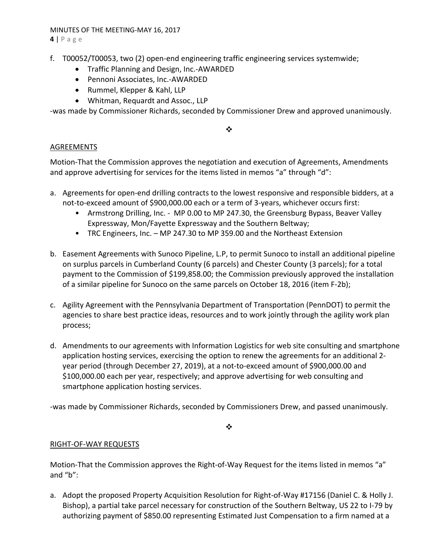## MINUTES OF THE MEETING‐MAY 16, 2017

**4** | Page

- f. T00052/T00053, two (2) open‐end engineering traffic engineering services systemwide;
	- Traffic Planning and Design, Inc.-AWARDED
	- Pennoni Associates, Inc.-AWARDED
	- Rummel, Klepper & Kahl, LLP
	- Whitman, Requardt and Assoc., LLP

‐was made by Commissioner Richards, seconded by Commissioner Drew and approved unanimously.

 $\frac{1}{2}$ 

## AGREEMENTS

Motion‐That the Commission approves the negotiation and execution of Agreements, Amendments and approve advertising for services for the items listed in memos "a" through "d":

- a. Agreements for open‐end drilling contracts to the lowest responsive and responsible bidders, at a not-to-exceed amount of \$900,000.00 each or a term of 3-years, whichever occurs first:
	- Armstrong Drilling, Inc. MP 0.00 to MP 247.30, the Greensburg Bypass, Beaver Valley Expressway, Mon/Fayette Expressway and the Southern Beltway;
	- TRC Engineers, Inc. MP 247.30 to MP 359.00 and the Northeast Extension
- b. Easement Agreements with Sunoco Pipeline, L.P, to permit Sunoco to install an additional pipeline on surplus parcels in Cumberland County (6 parcels) and Chester County (3 parcels); for a total payment to the Commission of \$199,858.00; the Commission previously approved the installation of a similar pipeline for Sunoco on the same parcels on October 18, 2016 (item F‐2b);
- c. Agility Agreement with the Pennsylvania Department of Transportation (PennDOT) to permit the agencies to share best practice ideas, resources and to work jointly through the agility work plan process;
- d. Amendments to our agreements with Information Logistics for web site consulting and smartphone application hosting services, exercising the option to renew the agreements for an additional 2‐ year period (through December 27, 2019), at a not‐to‐exceed amount of \$900,000.00 and \$100,000.00 each per year, respectively; and approve advertising for web consulting and smartphone application hosting services.

‐was made by Commissioner Richards, seconded by Commissioners Drew, and passed unanimously.

 $\cdot$ 

# RIGHT‐OF‐WAY REQUESTS

Motion-That the Commission approves the Right-of-Way Request for the items listed in memos "a" and "b":

a. Adopt the proposed Property Acquisition Resolution for Right‐of‐Way #17156 (Daniel C. & Holly J. Bishop), a partial take parcel necessary for construction of the Southern Beltway, US 22 to I‐79 by authorizing payment of \$850.00 representing Estimated Just Compensation to a firm named at a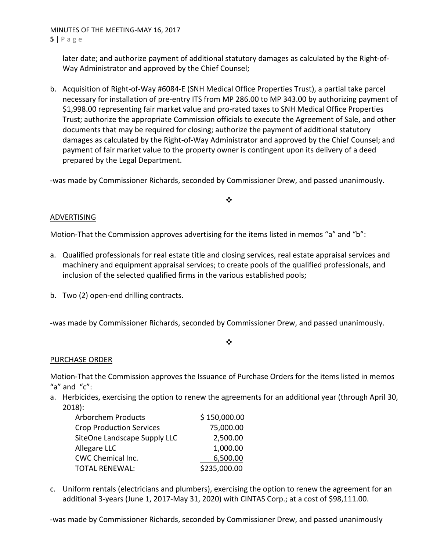MINUTES OF THE MEETING‐MAY 16, 2017 **5** | Page

later date; and authorize payment of additional statutory damages as calculated by the Right‐of‐ Way Administrator and approved by the Chief Counsel;

b. Acquisition of Right‐of‐Way #6084‐E (SNH Medical Office Properties Trust), a partial take parcel necessary for installation of pre‐entry ITS from MP 286.00 to MP 343.00 by authorizing payment of \$1,998.00 representing fair market value and pro-rated taxes to SNH Medical Office Properties Trust; authorize the appropriate Commission officials to execute the Agreement of Sale, and other documents that may be required for closing; authorize the payment of additional statutory damages as calculated by the Right‐of‐Way Administrator and approved by the Chief Counsel; and payment of fair market value to the property owner is contingent upon its delivery of a deed prepared by the Legal Department.

‐was made by Commissioner Richards, seconded by Commissioner Drew, and passed unanimously.

## ❖

## ADVERTISING

Motion-That the Commission approves advertising for the items listed in memos "a" and "b":

- a. Qualified professionals for real estate title and closing services, real estate appraisal services and machinery and equipment appraisal services; to create pools of the qualified professionals, and inclusion of the selected qualified firms in the various established pools;
- b. Two (2) open‐end drilling contracts.

‐was made by Commissioner Richards, seconded by Commissioner Drew, and passed unanimously.

# $\frac{1}{2}$

# PURCHASE ORDER

Motion‐That the Commission approves the Issuance of Purchase Orders for the items listed in memos "a" and  $"c"$ :

a. Herbicides, exercising the option to renew the agreements for an additional year (through April 30, 2018):

| <b>Arborchem Products</b>       | \$150,000.00 |
|---------------------------------|--------------|
| <b>Crop Production Services</b> | 75,000.00    |
| SiteOne Landscape Supply LLC    | 2,500.00     |
| Allegare LLC                    | 1,000.00     |
| CWC Chemical Inc.               | 6,500.00     |
| <b>TOTAL RENEWAL:</b>           | \$235,000.00 |

c. Uniform rentals (electricians and plumbers), exercising the option to renew the agreement for an additional 3‐years (June 1, 2017‐May 31, 2020) with CINTAS Corp.; at a cost of \$98,111.00.

‐was made by Commissioner Richards, seconded by Commissioner Drew, and passed unanimously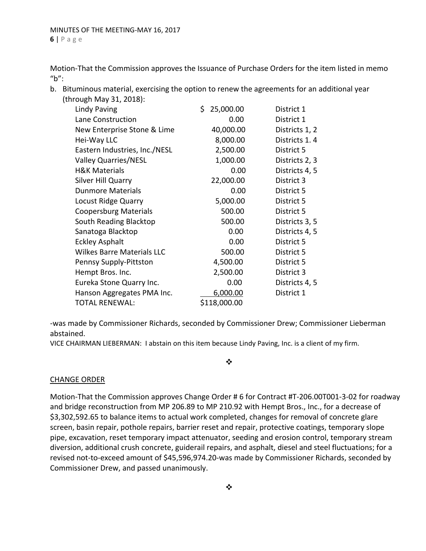Motion‐That the Commission approves the Issuance of Purchase Orders for the item listed in memo  $"b"$ :

b. Bituminous material, exercising the option to renew the agreements for an additional year (through May 31, 2018):

| (UIIUUKII IVIUV JI, ZUIU).        |                  |                |
|-----------------------------------|------------------|----------------|
| <b>Lindy Paving</b>               | \$.<br>25,000.00 | District 1     |
| Lane Construction                 | 0.00             | District 1     |
| New Enterprise Stone & Lime       | 40,000.00        | Districts 1, 2 |
| Hei-Way LLC                       | 8,000.00         | Districts 1.4  |
| Eastern Industries, Inc./NESL     | 2,500.00         | District 5     |
| <b>Valley Quarries/NESL</b>       | 1,000.00         | Districts 2, 3 |
| <b>H&amp;K Materials</b>          | 0.00             | Districts 4, 5 |
| Silver Hill Quarry                | 22,000.00        | District 3     |
| <b>Dunmore Materials</b>          | 0.00             | District 5     |
| Locust Ridge Quarry               | 5,000.00         | District 5     |
| <b>Coopersburg Materials</b>      | 500.00           | District 5     |
| South Reading Blacktop            | 500.00           | Districts 3, 5 |
| Sanatoga Blacktop                 | 0.00             | Districts 4, 5 |
| <b>Eckley Asphalt</b>             | 0.00             | District 5     |
| <b>Wilkes Barre Materials LLC</b> | 500.00           | District 5     |
| Pennsy Supply-Pittston            | 4,500.00         | District 5     |
| Hempt Bros. Inc.                  | 2,500.00         | District 3     |
| Eureka Stone Quarry Inc.          | 0.00             | Districts 4, 5 |
| Hanson Aggregates PMA Inc.        | 6,000.00         | District 1     |
| <b>TOTAL RENEWAL:</b>             | \$118,000.00     |                |
|                                   |                  |                |

‐was made by Commissioner Richards, seconded by Commissioner Drew; Commissioner Lieberman abstained.

VICE CHAIRMAN LIEBERMAN: I abstain on this item because Lindy Paving, Inc. is a client of my firm.

❖

## CHANGE ORDER

Motion‐That the Commission approves Change Order # 6 for Contract #T‐206.00T001‐3‐02 for roadway and bridge reconstruction from MP 206.89 to MP 210.92 with Hempt Bros., Inc., for a decrease of \$3,302,592.65 to balance items to actual work completed, changes for removal of concrete glare screen, basin repair, pothole repairs, barrier reset and repair, protective coatings, temporary slope pipe, excavation, reset temporary impact attenuator, seeding and erosion control, temporary stream diversion, additional crush concrete, guiderail repairs, and asphalt, diesel and steel fluctuations; for a revised not‐to‐exceed amount of \$45,596,974.20‐was made by Commissioner Richards, seconded by Commissioner Drew, and passed unanimously.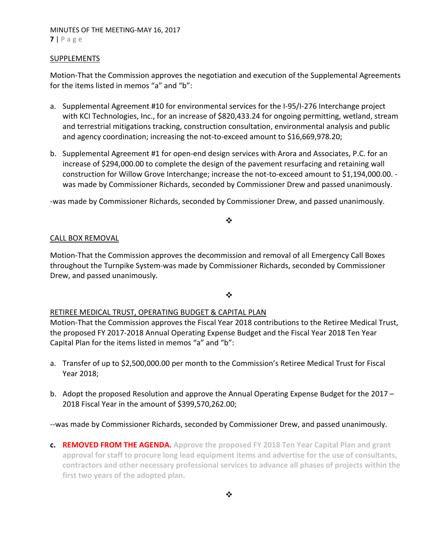## MINUTES OF THE MEETING‐MAY 16, 2017 **7** | Page

### **SUPPLEMENTS**

Motion‐That the Commission approves the negotiation and execution of the Supplemental Agreements for the items listed in memos "a" and "b":

- a. Supplemental Agreement #10 for environmental services for the I‐95/I‐276 Interchange project with KCI Technologies, Inc., for an increase of \$820,433.24 for ongoing permitting, wetland, stream and terrestrial mitigations tracking, construction consultation, environmental analysis and public and agency coordination; increasing the not‐to‐exceed amount to \$16,669,978.20;
- b. Supplemental Agreement #1 for open‐end design services with Arora and Associates, P.C. for an increase of \$294,000.00 to complete the design of the pavement resurfacing and retaining wall construction for Willow Grove Interchange; increase the not-to-exceed amount to \$1,194,000.00. was made by Commissioner Richards, seconded by Commissioner Drew and passed unanimously.

‐was made by Commissioner Richards, seconded by Commissioner Drew, and passed unanimously.

### ❖

### CALL BOX REMOVAL

Motion‐That the Commission approves the decommission and removal of all Emergency Call Boxes throughout the Turnpike System‐was made by Commissioner Richards, seconded by Commissioner Drew, and passed unanimously.

### $\bullet \bullet$

## RETIREE MEDICAL TRUST, OPERATING BUDGET & CAPITAL PLAN

Motion‐That the Commission approves the Fiscal Year 2018 contributions to the Retiree Medical Trust, the proposed FY 2017‐2018 Annual Operating Expense Budget and the Fiscal Year 2018 Ten Year Capital Plan for the items listed in memos "a" and "b":

- a. Transfer of up to \$2,500,000.00 per month to the Commission's Retiree Medical Trust for Fiscal Year 2018;
- b. Adopt the proposed Resolution and approve the Annual Operating Expense Budget for the 2017 2018 Fiscal Year in the amount of \$399,570,262.00;

‐‐was made by Commissioner Richards, seconded by Commissioner Drew, and passed unanimously.

**c. REMOVED FROM THE AGENDA. Approve the proposed FY 2018 Ten Year Capital Plan and grant approval for staff to procure long lead equipment items and advertise for the use of consultants, contractors and other necessary professional services to advance all phases of projects within the first two years of the adopted plan.**